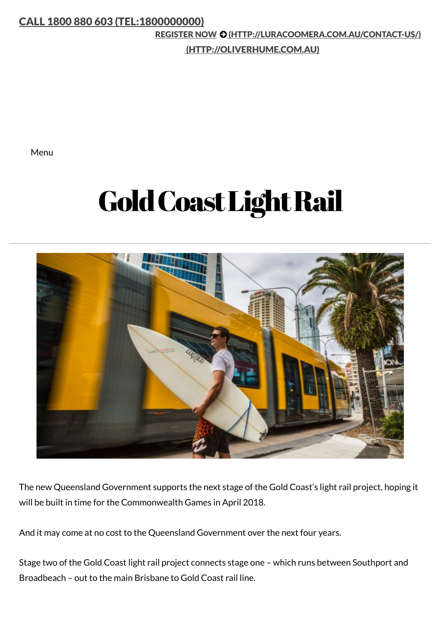CALL 1800 880 603 [\(TEL:1800000000\)](tel:1800000000)

REGISTER NOW [\(HTTP://LURACOOMERA.COM.AU/CONTACT-US/\)](http://luracoomera.com.au/contact-us/)

[\(HTTP://OLIVERHUME.COM.AU\)](http://oliverhume.com.au/)

Menu

## GoldCoastLightRail



The new Queensland Government supports the next stage of the Gold Coast's light rail project, hoping it will be built in time for the Commonwealth Games in April 2018.

And it may come at no cost to the Queensland Government over the next four years.

Stage two of the Gold Coast light rail project connects stage one – which runs between Southport and Broadbeach – out to the main Brisbane to Gold Coast rail line.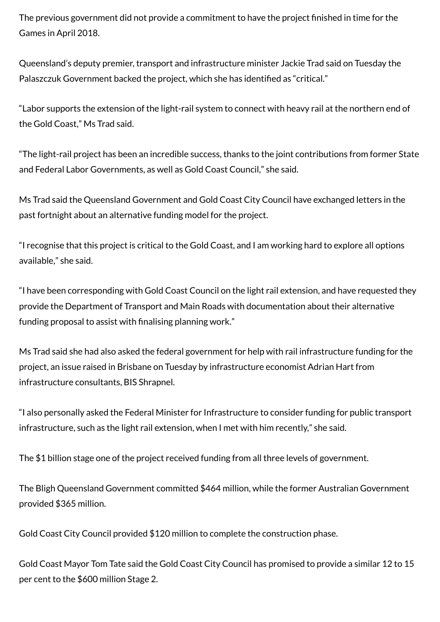The previous government did not provide a commitment to have the project finished in time for the Games in April 2018.

Queensland's deputy premier, transport and infrastructure minister Jackie Trad said on Tuesday the Palaszczuk Government backed the project, which she has identified as "critical."

"Labor supports the extension of the light-rail system to connect with heavy rail at the northern end of the Gold Coast," Ms Trad said.

"The light-rail project has been an incredible success, thanks to the joint contributions from former State and Federal Labor Governments, as well as Gold Coast Council," she said.

Ms Trad said the Queensland Government and Gold Coast City Council have exchanged letters in the past fortnight about an alternative funding model for the project.

"I recognise that this project is critical to the Gold Coast, and I am working hard to explore all options available," she said.

"I have been corresponding with Gold Coast Council on the light rail extension, and have requested they provide the Department of Transport and Main Roads with documentation about their alternative funding proposal to assist with finalising planning work."

Ms Trad said she had also asked the federal government for help with rail infrastructure funding for the project, an issue raised in Brisbane on Tuesday by infrastructure economist Adrian Hart from infrastructure consultants, BIS Shrapnel.

"I also personally asked the Federal Minister for Infrastructure to consider funding for public transport infrastructure, such as the light rail extension, when I met with him recently," she said.

The \$1 billion stage one of the project received funding from all three levels of government.

The Bligh Queensland Government committed \$464 million, while the former Australian Government provided \$365 million.

Gold Coast City Council provided \$120 million to complete the construction phase.

Gold Coast Mayor Tom Tate said the Gold Coast City Council has promised to provide a similar 12 to 15 per cent to the \$600 million Stage 2.